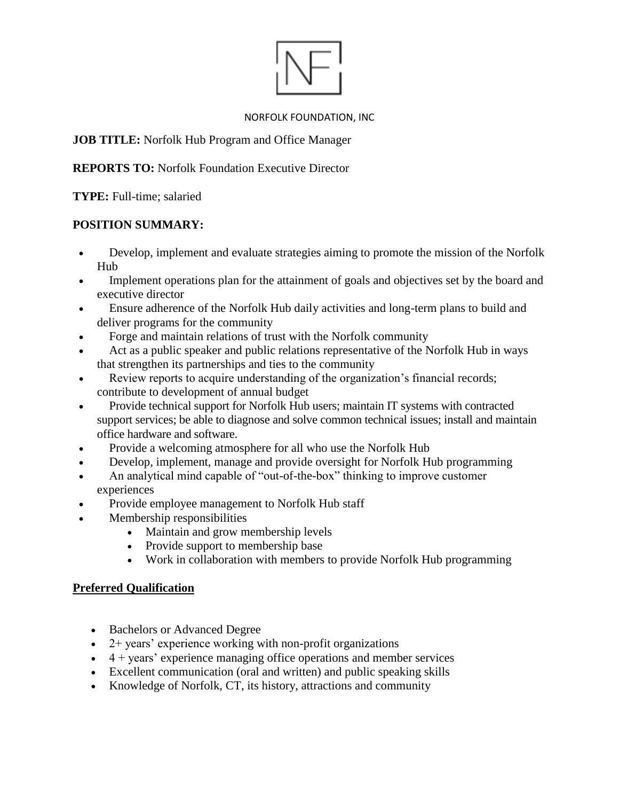#### NORFOLK FOUNDATION, INC

**JOB TITLE:** Norfolk Hub Program and Office Manager

**REPORTS TO:** Norfolk Foundation Executive Director

**TYPE:** Full-time; salaried

# **POSITION SUMMARY:**

- Develop, implement and evaluate strategies aiming to promote the mission of the Norfolk Hub
- Implement operations plan for the attainment of goals and objectives set by the board and executive director
- Ensure adherence of the Norfolk Hub daily activities and long-term plans to build and deliver programs for the community
- Forge and maintain relations of trust with the Norfolk community
- Act as a public speaker and public relations representative of the Norfolk Hub in ways that strengthen its partnerships and ties to the community
- Review reports to acquire understanding of the organization's financial records; contribute to development of annual budget
- Provide technical support for Norfolk Hub users; maintain IT systems with contracted support services; be able to diagnose and solve common technical issues; install and maintain office hardware and software.
- Provide a welcoming atmosphere for all who use the Norfolk Hub
- Develop, implement, manage and provide oversight for Norfolk Hub programming
- An analytical mind capable of "out-of-the-box" thinking to improve customer experiences
- Provide employee management to Norfolk Hub staff
- Membership responsibilities
	- Maintain and grow membership levels
	- Provide support to membership base
	- Work in collaboration with members to provide Norfolk Hub programming

# **Preferred Qualification**

- Bachelors or Advanced Degree
- $\bullet$  2+ years' experience working with non-profit organizations
- $\bullet$  4 + years' experience managing office operations and member services
- Excellent communication (oral and written) and public speaking skills
- Knowledge of Norfolk, CT, its history, attractions and community